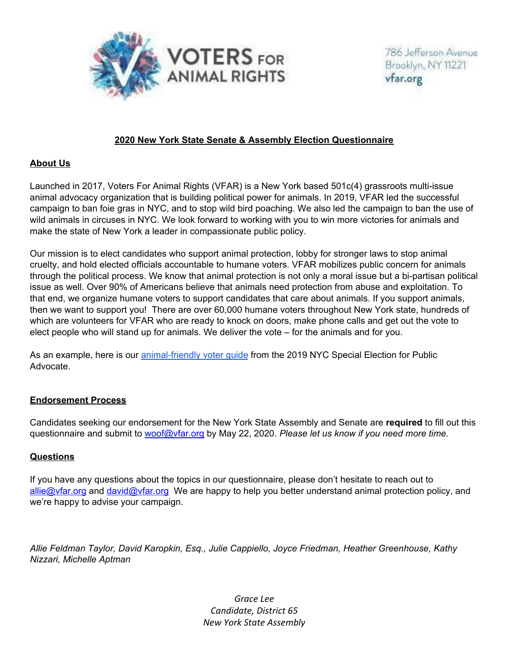

### **2020 New York State Senate & Assembly Election Questionnaire**

#### **About Us**

Launched in 2017, Voters For Animal Rights (VFAR) is a New York based 501c(4) grassroots multi-issue animal advocacy organization that is building political power for animals. In 2019, VFAR led the successful campaign to ban foie gras in NYC, and to stop wild bird poaching. We also led the campaign to ban the use of wild animals in circuses in NYC. We look forward to working with you to win more victories for animals and make the state of New York a leader in compassionate public policy.

Our mission is to elect candidates who support animal protection, lobby for stronger laws to stop animal cruelty, and hold elected officials accountable to humane voters. VFAR mobilizes public concern for animals through the political process. We know that animal protection is not only a moral issue but a bi-partisan political issue as well. Over 90% of Americans believe that animals need protection from abuse and exploitation. To that end, we organize humane voters to support candidates that care about animals. If you support animals, then we want to support you! There are over 60,000 humane voters throughout New York state, hundreds of which are volunteers for VFAR who are ready to knock on doors, make phone calls and get out the vote to elect people who will stand up for animals. We deliver the vote – for the animals and for you.

As an example, here is our **animal-friendly voter quide from the 2019 NYC** Special Election for Public Advocate.

## **Endorsement Process**

Candidates seeking our endorsement for the New York State Assembly and Senate are **required** to fill out this questionnaire and submit to woof@vfar.org by May 22, 2020. *Please let us know if you need more time.*

## **Questions**

If you have any questions about the topics in our questionnaire, please don't hesitate to reach out to allie@vfar.org and david@vfar.org We are happy to help you better understand animal protection policy, and we're happy to advise your campaign.

*Allie Feldman Taylor, David Karopkin, Esq., Julie Cappiello, Joyce Friedman, Heather Greenhouse, Kathy Nizzari, Michelle Aptman*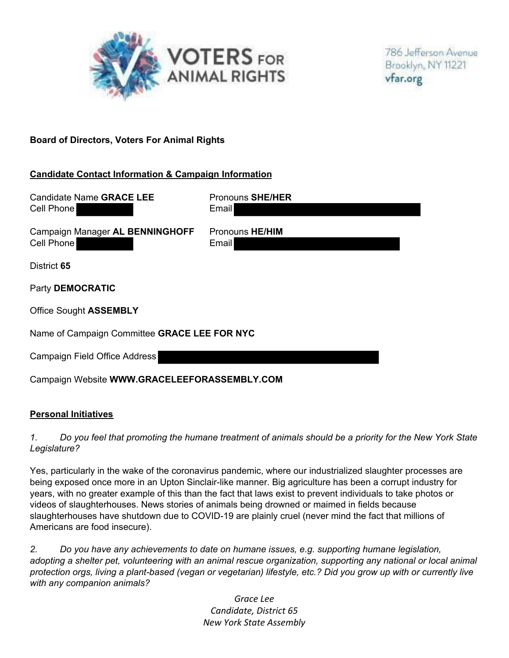

## **Board of Directors, Voters For Animal Rights**

### **Candidate Contact Information & Campaign Information**

| <b>Candidate Name GRACE LEE</b><br>Cell Phone | Pronouns SHE/HER<br><b>Email</b> |
|-----------------------------------------------|----------------------------------|
| Campaign Manager AL BENNINGHOFF<br>Cell Phone | Pronouns HE/HIM<br><b>Email</b>  |
| District 65                                   |                                  |
| Party DEMOCRATIC                              |                                  |
| <b>Office Sought ASSEMBLY</b>                 |                                  |
| Name of Campaign Committee GRACE LEE FOR NYC  |                                  |
| Campaign Field Office Address                 |                                  |
| Campaign Website WWW.GRACELEEFORASSEMBLY.COM  |                                  |

#### **Personal Initiatives**

#### *1. Do you feel that promoting the humane treatment of animals should be a priority for the New York State Legislature?*

Yes, particularly in the wake of the coronavirus pandemic, where our industrialized slaughter processes are being exposed once more in an Upton Sinclair-like manner. Big agriculture has been a corrupt industry for years, with no greater example of this than the fact that laws exist to prevent individuals to take photos or videos of slaughterhouses. News stories of animals being drowned or maimed in fields because slaughterhouses have shutdown due to COVID-19 are plainly cruel (never mind the fact that millions of Americans are food insecure).

*2. Do you have any achievements to date on humane issues, e.g. supporting humane legislation, adopting a shelter pet, volunteering with an animal rescue organization, supporting any national or local animal protection orgs, living a plant-based (vegan or vegetarian) lifestyle, etc.? Did you grow up with or currently live with any companion animals?*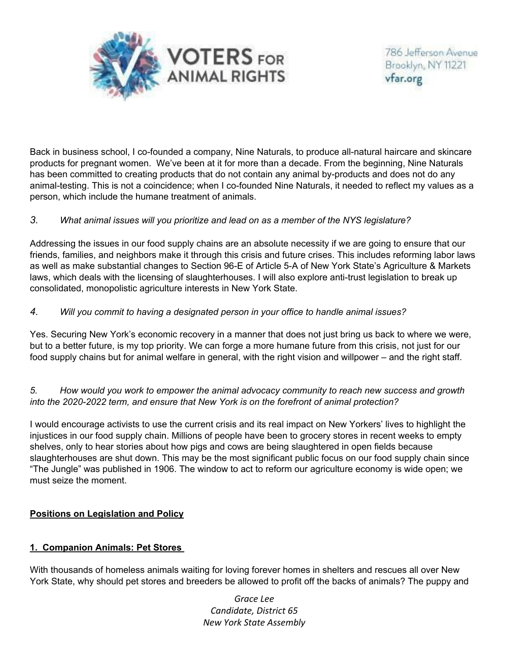

Back in business school, I co-founded a company, Nine Naturals, to produce all-natural haircare and skincare products for pregnant women. We've been at it for more than a decade. From the beginning, Nine Naturals has been committed to creating products that do not contain any animal by-products and does not do any animal-testing. This is not a coincidence; when I co-founded Nine Naturals, it needed to reflect my values as a person, which include the humane treatment of animals.

### *3. What animal issues will you prioritize and lead on as a member of the NYS legislature?*

Addressing the issues in our food supply chains are an absolute necessity if we are going to ensure that our friends, families, and neighbors make it through this crisis and future crises. This includes reforming labor laws as well as make substantial changes to Section 96-E of Article 5-A of New York State's Agriculture & Markets laws, which deals with the licensing of slaughterhouses. I will also explore anti-trust legislation to break up consolidated, monopolistic agriculture interests in New York State.

### *4. Will you commit to having a designated person in your office to handle animal issues?*

Yes. Securing New York's economic recovery in a manner that does not just bring us back to where we were, but to a better future, is my top priority. We can forge a more humane future from this crisis, not just for our food supply chains but for animal welfare in general, with the right vision and willpower – and the right staff.

### *5. How would you work to empower the animal advocacy community to reach new success and growth into the 2020-2022 term, and ensure that New York is on the forefront of animal protection?*

I would encourage activists to use the current crisis and its real impact on New Yorkers' lives to highlight the injustices in our food supply chain. Millions of people have been to grocery stores in recent weeks to empty shelves, only to hear stories about how pigs and cows are being slaughtered in open fields because slaughterhouses are shut down. This may be the most significant public focus on our food supply chain since "The Jungle" was published in 1906. The window to act to reform our agriculture economy is wide open; we must seize the moment.

## **Positions on Legislation and Policy**

## **1. Companion Animals: Pet Stores**

With thousands of homeless animals waiting for loving forever homes in shelters and rescues all over New York State, why should pet stores and breeders be allowed to profit off the backs of animals? The puppy and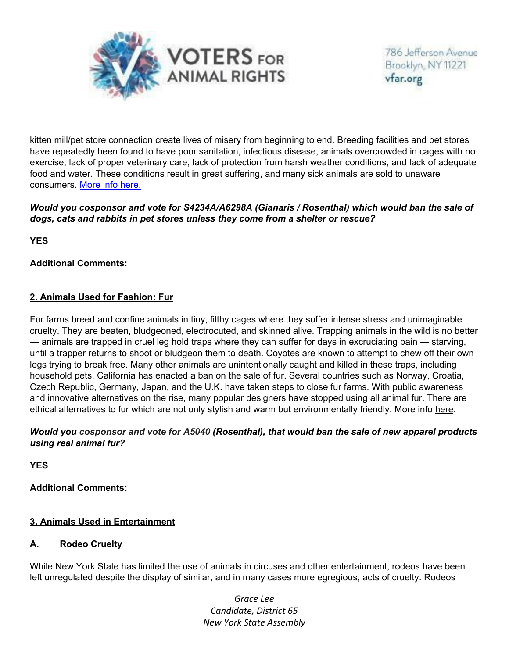

kitten mill/pet store connection create lives of misery from beginning to end. Breeding facilities and pet stores have repeatedly been found to have poor sanitation, infectious disease, animals overcrowded in cages with no exercise, lack of proper veterinary care, lack of protection from harsh weather conditions, and lack of adequate food and water. These conditions result in great suffering, and many sick animals are sold to unaware consumers. More info here.

## *Would you cosponsor and vote for S4234A/A6298A (Gianaris / Rosenthal) which would ban the sale of dogs, cats and rabbits in pet stores unless they come from a shelter or rescue?*

**YES** 

# **Additional Comments:**

# **2. Animals Used for Fashion: Fur**

Fur farms breed and confine animals in tiny, filthy cages where they suffer intense stress and unimaginable cruelty. They are beaten, bludgeoned, electrocuted, and skinned alive. Trapping animals in the wild is no better — animals are trapped in cruel leg hold traps where they can suffer for days in excruciating pain — starving, until a trapper returns to shoot or bludgeon them to death. Coyotes are known to attempt to chew off their own legs trying to break free. Many other animals are unintentionally caught and killed in these traps, including household pets. California has enacted a ban on the sale of fur. Several countries such as Norway, Croatia, Czech Republic, Germany, Japan, and the U.K. have taken steps to close fur farms. With public awareness and innovative alternatives on the rise, many popular designers have stopped using all animal fur. There are ethical alternatives to fur which are not only stylish and warm but environmentally friendly. More info here.

### *Would you cosponsor and vote for A5040 (Rosenthal), that would ban the sale of new apparel products using real animal fur?*

**YES** 

**Additional Comments:**

## **3. Animals Used in Entertainment**

## **A. Rodeo Cruelty**

While New York State has limited the use of animals in circuses and other entertainment, rodeos have been left unregulated despite the display of similar, and in many cases more egregious, acts of cruelty. Rodeos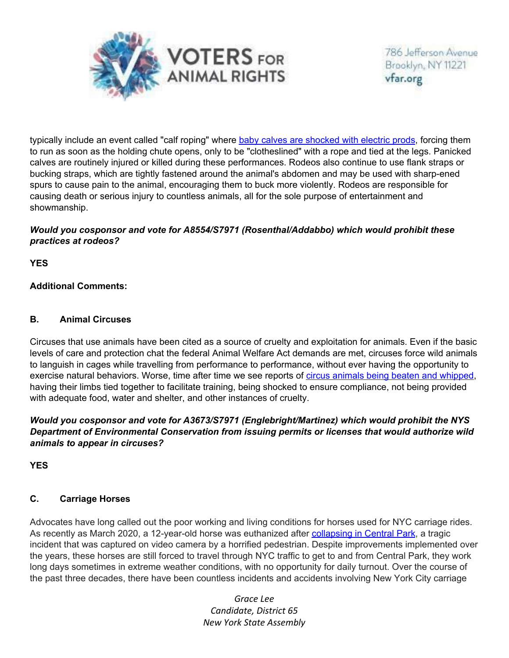

typically include an event called "calf roping" where baby calves are shocked with electric prods, forcing them to run as soon as the holding chute opens, only to be "clotheslined" with a rope and tied at the legs. Panicked calves are routinely injured or killed during these performances. Rodeos also continue to use flank straps or bucking straps, which are tightly fastened around the animal's abdomen and may be used with sharp-ened spurs to cause pain to the animal, encouraging them to buck more violently. Rodeos are responsible for causing death or serious injury to countless animals, all for the sole purpose of entertainment and showmanship.

### *Would you cosponsor and vote for A8554/S7971 (Rosenthal/Addabbo) which would prohibit these practices at rodeos?*

**YES** 

## **Additional Comments:**

### **B. Animal Circuses**

Circuses that use animals have been cited as a source of cruelty and exploitation for animals. Even if the basic levels of care and protection chat the federal Animal Welfare Act demands are met, circuses force wild animals to languish in cages while travelling from performance to performance, without ever having the opportunity to exercise natural behaviors. Worse, time after time we see reports of circus animals being beaten and whipped, having their limbs tied together to facilitate training, being shocked to ensure compliance, not being provided with adequate food, water and shelter, and other instances of cruelty.

### *Would you cosponsor and vote for A3673/S7971 (Englebright/Martinez) which would prohibit the NYS Department of Environmental Conservation from issuing permits or licenses that would authorize wild animals to appear in circuses?*

**YES** 

## **C. Carriage Horses**

Advocates have long called out the poor working and living conditions for horses used for NYC carriage rides. As recently as March 2020, a 12-year-old horse was euthanized after collapsing in Central Park, a tragic incident that was captured on video camera by a horrified pedestrian. Despite improvements implemented over the years, these horses are still forced to travel through NYC traffic to get to and from Central Park, they work long days sometimes in extreme weather conditions, with no opportunity for daily turnout. Over the course of the past three decades, there have been countless incidents and accidents involving New York City carriage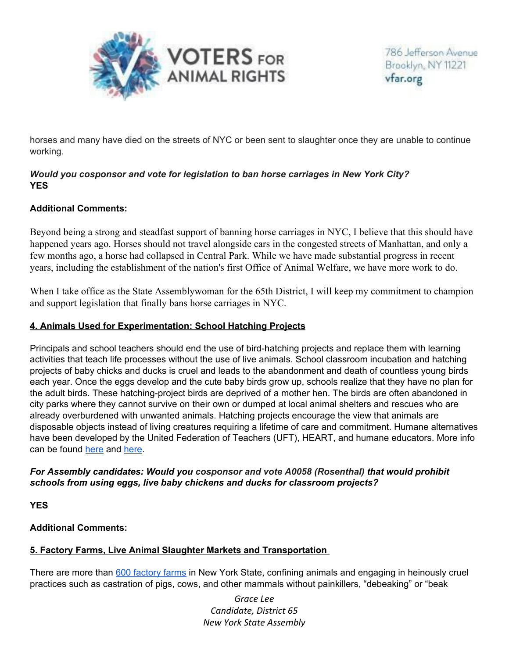

horses and many have died on the streets of NYC or been sent to slaughter once they are unable to continue working.

# *Would you cosponsor and vote for legislation to ban horse carriages in New York City?* **YES**

## **Additional Comments:**

Beyond being a strong and steadfast support of banning horse carriages in NYC, I believe that this should have happened years ago. Horses should not travel alongside cars in the congested streets of Manhattan, and only a few months ago, a horse had collapsed in Central Park. While we have made substantial progress in recent years, including the establishment of the nation's first Office of Animal Welfare, we have more work to do.

When I take office as the State Assemblywoman for the 65th District, I will keep my commitment to champion and support legislation that finally bans horse carriages in NYC.

# **4. Animals Used for Experimentation: School Hatching Projects**

Principals and school teachers should end the use of bird-hatching projects and replace them with learning activities that teach life processes without the use of live animals. School classroom incubation and hatching projects of baby chicks and ducks is cruel and leads to the abandonment and death of countless young birds each year. Once the eggs develop and the cute baby birds grow up, schools realize that they have no plan for the adult birds. These hatching-project birds are deprived of a mother hen. The birds are often abandoned in city parks where they cannot survive on their own or dumped at local animal shelters and rescues who are already overburdened with unwanted animals. Hatching projects encourage the view that animals are disposable objects instead of living creatures requiring a lifetime of care and commitment. Humane alternatives have been developed by the United Federation of Teachers (UFT), HEART, and humane educators. More info can be found here and here.

## *For Assembly candidates: Would you cosponsor and vote A0058 (Rosenthal) that would prohibit schools from using eggs, live baby chickens and ducks for classroom projects?*

**YES** 

## **Additional Comments:**

## **5. Factory Farms, Live Animal Slaughter Markets and Transportation**

There are more than 600 factory farms in New York State, confining animals and engaging in heinously cruel practices such as castration of pigs, cows, and other mammals without painkillers, "debeaking" or "beak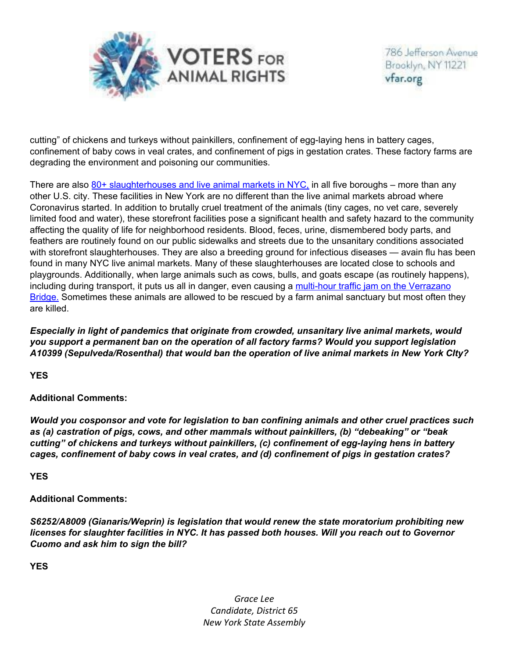

cutting" of chickens and turkeys without painkillers, confinement of egg-laying hens in battery cages, confinement of baby cows in veal crates, and confinement of pigs in gestation crates. These factory farms are degrading the environment and poisoning our communities.

There are also  $80+$  slaughterhouses and live animal markets in NYC, in all five boroughs – more than any other U.S. city. These facilities in New York are no different than the live animal markets abroad where Coronavirus started. In addition to brutally cruel treatment of the animals (tiny cages, no vet care, severely limited food and water), these storefront facilities pose a significant health and safety hazard to the community affecting the quality of life for neighborhood residents. Blood, feces, urine, dismembered body parts, and feathers are routinely found on our public sidewalks and streets due to the unsanitary conditions associated with storefront slaughterhouses. They are also a breeding ground for infectious diseases — avain flu has been found in many NYC live animal markets. Many of these slaughterhouses are located close to schools and playgrounds. Additionally, when large animals such as cows, bulls, and goats escape (as routinely happens), including during transport, it puts us all in danger, even causing a multi-hour traffic jam on the Verrazano Bridge. Sometimes these animals are allowed to be rescued by a farm animal sanctuary but most often they are killed.

*Especially in light of pandemics that originate from crowded, unsanitary live animal markets, would you support a permanent ban on the operation of all factory farms? Would you support legislation A10399 (Sepulveda/Rosenthal) that would ban the operation of live animal markets in New York CIty?*

**YES** 

**Additional Comments:**

*Would you cosponsor and vote for legislation to ban confining animals and other cruel practices such as (a) castration of pigs, cows, and other mammals without painkillers, (b) "debeaking" or "beak cutting" of chickens and turkeys without painkillers, (c) confinement of egg-laying hens in battery cages, confinement of baby cows in veal crates, and (d) confinement of pigs in gestation crates?*

**YES** 

**Additional Comments:**

*S6252/A8009 (Gianaris/Weprin) is legislation that would renew the state moratorium prohibiting new licenses for slaughter facilities in NYC. It has passed both houses. Will you reach out to Governor Cuomo and ask him to sign the bill?*

**YES**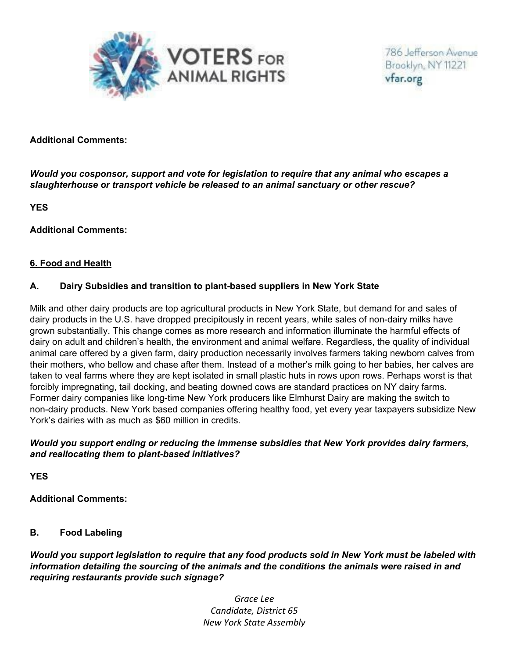

#### **Additional Comments:**

*Would you cosponsor, support and vote for legislation to require that any animal who escapes a slaughterhouse or transport vehicle be released to an animal sanctuary or other rescue?*

**YES** 

**Additional Comments:**

#### **6. Food and Health**

#### **A. Dairy Subsidies and transition to plant-based suppliers in New York State**

Milk and other dairy products are top agricultural products in New York State, but demand for and sales of dairy products in the U.S. have dropped precipitously in recent years, while sales of non-dairy milks have grown substantially. This change comes as more research and information illuminate the harmful effects of dairy on adult and children's health, the environment and animal welfare. Regardless, the quality of individual animal care offered by a given farm, dairy production necessarily involves farmers taking newborn calves from their mothers, who bellow and chase after them. Instead of a mother's milk going to her babies, her calves are taken to veal farms where they are kept isolated in small plastic huts in rows upon rows. Perhaps worst is that forcibly impregnating, tail docking, and beating downed cows are standard practices on NY dairy farms. Former dairy companies like long-time New York producers like Elmhurst Dairy are making the switch to non-dairy products. New York based companies offering healthy food, yet every year taxpayers subsidize New York's dairies with as much as \$60 million in credits.

#### *Would you support ending or reducing the immense subsidies that New York provides dairy farmers, and reallocating them to plant-based initiatives?*

**YES** 

**Additional Comments:**

#### **B. Food Labeling**

*Would you support legislation to require that any food products sold in New York must be labeled with information detailing the sourcing of the animals and the conditions the animals were raised in and requiring restaurants provide such signage?*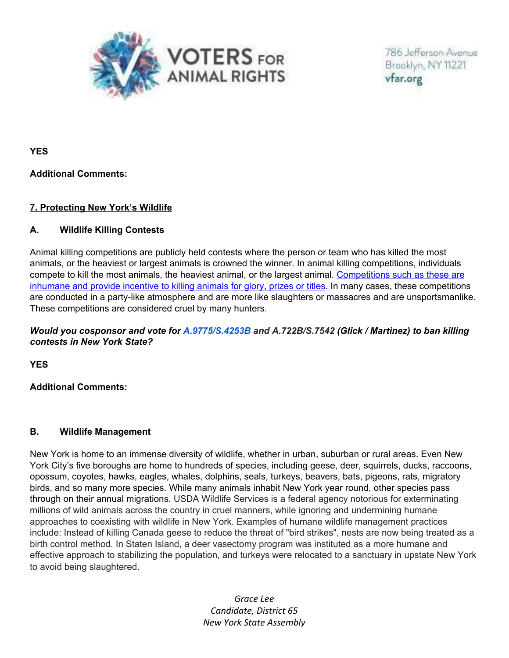

**YES** 

### **Additional Comments:**

## **7. Protecting New York's Wildlife**

## **A. Wildlife Killing Contests**

Animal killing competitions are publicly held contests where the person or team who has killed the most animals, or the heaviest or largest animals is crowned the winner. In animal killing competitions, individuals compete to kill the most animals, the heaviest animal, or the largest animal. Competitions such as these are inhumane and provide incentive to killing animals for glory, prizes or titles. In many cases, these competitions are conducted in a party-like atmosphere and are more like slaughters or massacres and are unsportsmanlike. These competitions are considered cruel by many hunters.

## *Would you cosponsor and vote for A.9775/S.4253B and A.722B/S.7542 (Glick / Martinez) to ban killing contests in New York State?*

**YES** 

**Additional Comments:**

#### **B. Wildlife Management**

New York is home to an immense diversity of wildlife, whether in urban, suburban or rural areas. Even New York City's five boroughs are home to hundreds of species, including geese, deer, squirrels, ducks, raccoons, opossum, coyotes, hawks, eagles, whales, dolphins, seals, turkeys, beavers, bats, pigeons, rats, migratory birds, and so many more species. While many animals inhabit New York year round, other species pass through on their annual migrations. USDA Wildlife Services is a federal agency notorious for exterminating millions of wild animals across the country in cruel manners, while ignoring and undermining humane approaches to coexisting with wildlife in New York. Examples of humane wildlife management practices include: Instead of killing Canada geese to reduce the threat of "bird strikes", nests are now being treated as a birth control method. In Staten Island, a deer vasectomy program was instituted as a more humane and effective approach to stabilizing the population, and turkeys were relocated to a sanctuary in upstate New York to avoid being slaughtered.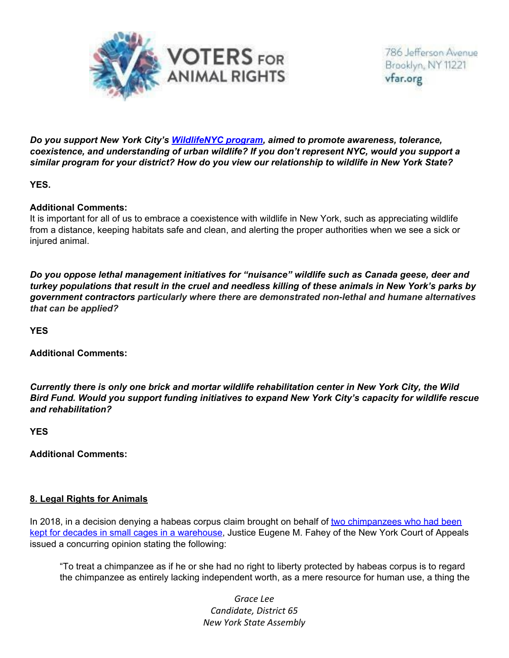

*Do you support New York City's WildlifeNYC program, aimed to promote awareness, tolerance, coexistence, and understanding of urban wildlife? If you don't represent NYC, would you support a similar program for your district? How do you view our relationship to wildlife in New York State?*

**YES.**

#### **Additional Comments:**

It is important for all of us to embrace a coexistence with wildlife in New York, such as appreciating wildlife from a distance, keeping habitats safe and clean, and alerting the proper authorities when we see a sick or injured animal.

*Do you oppose lethal management initiatives for "nuisance" wildlife such as Canada geese, deer and turkey populations that result in the cruel and needless killing of these animals in New York's parks by government contractors particularly where there are demonstrated non-lethal and humane alternatives that can be applied?* 

**YES** 

**Additional Comments:**

*Currently there is only one brick and mortar wildlife rehabilitation center in New York City, the Wild Bird Fund. Would you support funding initiatives to expand New York City's capacity for wildlife rescue and rehabilitation?*

**YES** 

**Additional Comments:**

## **8. Legal Rights for Animals**

In 2018, in a decision denying a habeas corpus claim brought on behalf of two chimpanzees who had been kept for decades in small cages in a warehouse, Justice Eugene M. Fahey of the New York Court of Appeals issued a concurring opinion stating the following:

"To treat a chimpanzee as if he or she had no right to liberty protected by habeas corpus is to regard the chimpanzee as entirely lacking independent worth, as a mere resource for human use, a thing the